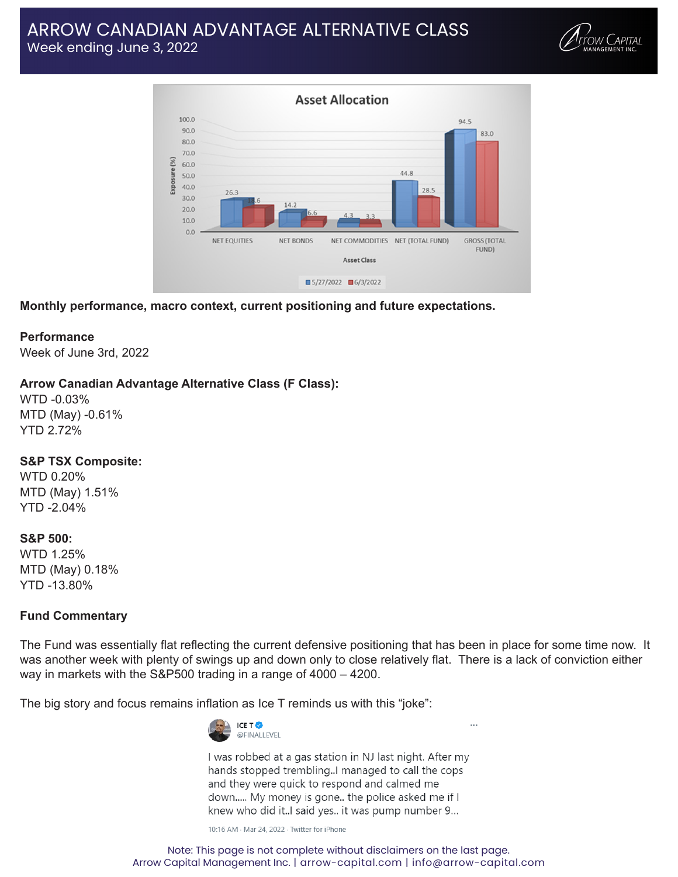# ARROW CANADIAN ADVANTAGE ALTERNATIVE CLASS Week ending June 3, 2022





**Monthly performance, macro context, current positioning and future expectations.**

### **Performance**

Week of June 3rd, 2022

## **Arrow Canadian Advantage Alternative Class (F Class):**

WTD -0.03% MTD (May) -0.61% YTD 2.72%

### **S&P TSX Composite:**

WTD 0.20% MTD (May) 1.51% YTD -2.04%

### **S&P 500:**

WTD 1.25% MTD (May) 0.18% YTD -13.80%

## **Fund Commentary**

The Fund was essentially flat reflecting the current defensive positioning that has been in place for some time now. It was another week with plenty of swings up and down only to close relatively flat. There is a lack of conviction either way in markets with the S&P500 trading in a range of 4000 – 4200.

The big story and focus remains inflation as Ice T reminds us with this "joke":



I was robbed at a gas station in NJ last night. After my hands stopped trembling..I managed to call the cops and they were quick to respond and calmed me down..... My money is gone.. the police asked me if I knew who did it...I said yes.. it was pump number 9...

10:16 AM · Mar 24, 2022 · Twitter for iPhone

Note: This page is not complete without disclaimers on the last page. Arrow Capital Management Inc. | arrow-capital.com | info@arrow-capital.com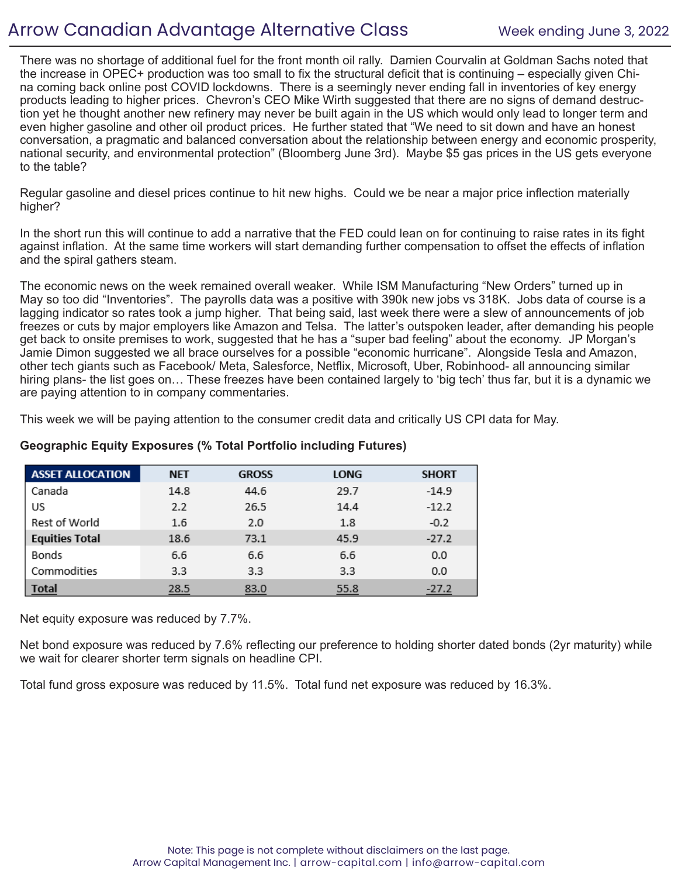# Arrow Canadian Advantage Alternative Class Week ending June 3, 2022

There was no shortage of additional fuel for the front month oil rally. Damien Courvalin at Goldman Sachs noted that the increase in OPEC+ production was too small to fix the structural deficit that is continuing – especially given China coming back online post COVID lockdowns. There is a seemingly never ending fall in inventories of key energy products leading to higher prices. Chevron's CEO Mike Wirth suggested that there are no signs of demand destruction yet he thought another new refinery may never be built again in the US which would only lead to longer term and even higher gasoline and other oil product prices. He further stated that "We need to sit down and have an honest conversation, a pragmatic and balanced conversation about the relationship between energy and economic prosperity, national security, and environmental protection" (Bloomberg June 3rd). Maybe \$5 gas prices in the US gets everyone to the table?

Regular gasoline and diesel prices continue to hit new highs. Could we be near a major price inflection materially higher?

In the short run this will continue to add a narrative that the FED could lean on for continuing to raise rates in its fight against inflation. At the same time workers will start demanding further compensation to offset the effects of inflation and the spiral gathers steam.

The economic news on the week remained overall weaker. While ISM Manufacturing "New Orders" turned up in May so too did "Inventories". The payrolls data was a positive with 390k new jobs vs 318K. Jobs data of course is a lagging indicator so rates took a jump higher. That being said, last week there were a slew of announcements of job freezes or cuts by major employers like Amazon and Telsa. The latter's outspoken leader, after demanding his people get back to onsite premises to work, suggested that he has a "super bad feeling" about the economy. JP Morgan's Jamie Dimon suggested we all brace ourselves for a possible "economic hurricane". Alongside Tesla and Amazon, other tech giants such as Facebook/ Meta, Salesforce, Netflix, Microsoft, Uber, Robinhood- all announcing similar hiring plans- the list goes on… These freezes have been contained largely to 'big tech' thus far, but it is a dynamic we are paying attention to in company commentaries.

This week we will be paying attention to the consumer credit data and critically US CPI data for May.

| <b>ASSET ALLOCATION</b> | <b>NET</b> | <b>GROSS</b> | <b>LONG</b> | <b>SHORT</b> |
|-------------------------|------------|--------------|-------------|--------------|
| Canada                  | 14.8       | 44.6         | 29.7        | $-14.9$      |
| US                      | 2.2        | 26.5         | 14.4        | $-12.2$      |
| Rest of World           | 1.6        | 2.0          | 1.8         | $-0.2$       |
| <b>Equities Total</b>   | 18.6       | 73.1         | 45.9        | $-27.2$      |
| Bonds                   | 6.6        | 6.6          | 6.6         | 0.0          |
| Commodities             | 3.3        | 3.3          | 3.3         | 0.0          |
| <b>Total</b>            | 28.5       | 83.0         | 55.8        | $-27.2$      |

# **Geographic Equity Exposures (% Total Portfolio including Futures)**

Net equity exposure was reduced by 7.7%.

Net bond exposure was reduced by 7.6% reflecting our preference to holding shorter dated bonds (2yr maturity) while we wait for clearer shorter term signals on headline CPI.

Total fund gross exposure was reduced by 11.5%. Total fund net exposure was reduced by 16.3%.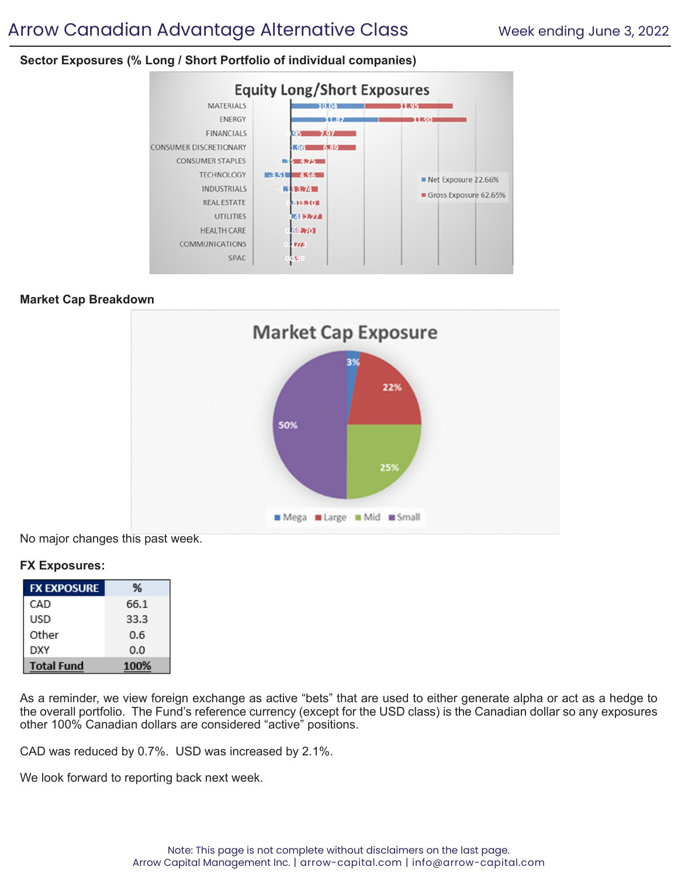# **Sector Exposures (% Long / Short Portfolio of individual companies)**



## **Market Cap Breakdown**



No major changes this past week.

## **FX Exposures:**

| <b>FX EXPOSURE</b> | ℅    |
|--------------------|------|
| CAD                | 66.1 |
| USD                | 33.3 |
| Other              | 0.6  |
| DXY                | 0.0  |
| <b>Total Fund</b>  | 100% |

As a reminder, we view foreign exchange as active "bets" that are used to either generate alpha or act as a hedge to the overall portfolio. The Fund's reference currency (except for the USD class) is the Canadian dollar so any exposures other 100% Canadian dollars are considered "active" positions.

CAD was reduced by 0.7%. USD was increased by 2.1%.

We look forward to reporting back next week.